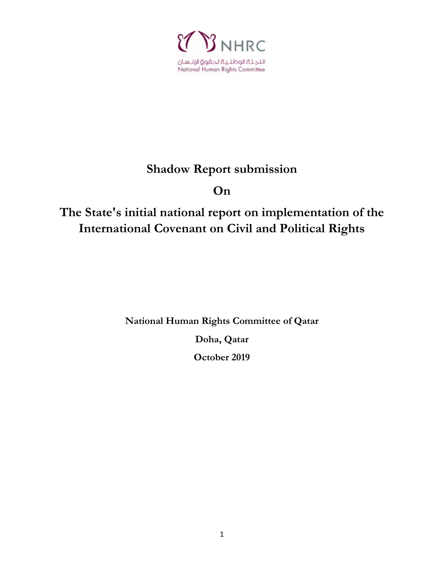

# **Shadow Report submission**

# **On**

# **The State's initial national report on implementation of the International Covenant on Civil and Political Rights**

**National Human Rights Committee of Qatar**

**Doha, Qatar**

**October 2019**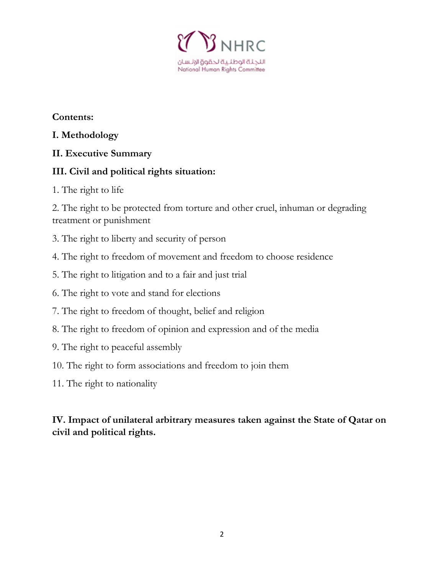

**Contents:**

#### **I. Methodology**

#### **II. Executive Summary**

#### **III. Civil and political rights situation:**

1. The right to life

2. The right to be protected from torture and other cruel, inhuman or degrading treatment or punishment

- 3. The right to liberty and security of person
- 4. The right to freedom of movement and freedom to choose residence
- 5. The right to litigation and to a fair and just trial
- 6. The right to vote and stand for elections
- 7. The right to freedom of thought, belief and religion
- 8. The right to freedom of opinion and expression and of the media
- 9. The right to peaceful assembly
- 10. The right to form associations and freedom to join them
- 11. The right to nationality

#### **IV. Impact of unilateral arbitrary measures taken against the State of Qatar on civil and political rights.**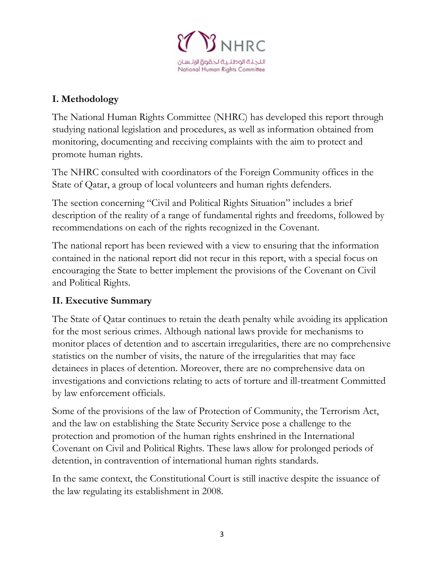

# **I. Methodology**

The National Human Rights Committee (NHRC) has developed this report through studying national legislation and procedures, as well as information obtained from monitoring, documenting and receiving complaints with the aim to protect and promote human rights.

The NHRC consulted with coordinators of the Foreign Community offices in the State of Qatar, a group of local volunteers and human rights defenders.

The section concerning "Civil and Political Rights Situation" includes a brief description of the reality of a range of fundamental rights and freedoms, followed by recommendations on each of the rights recognized in the Covenant.

The national report has been reviewed with a view to ensuring that the information contained in the national report did not recur in this report, with a special focus on encouraging the State to better implement the provisions of the Covenant on Civil and Political Rights.

#### **II. Executive Summary**

The State of Qatar continues to retain the death penalty while avoiding its application for the most serious crimes. Although national laws provide for mechanisms to monitor places of detention and to ascertain irregularities, there are no comprehensive statistics on the number of visits, the nature of the irregularities that may face detainees in places of detention. Moreover, there are no comprehensive data on investigations and convictions relating to acts of torture and ill-treatment Committed by law enforcement officials.

Some of the provisions of the law of Protection of Community, the Terrorism Act, and the law on establishing the State Security Service pose a challenge to the protection and promotion of the human rights enshrined in the International Covenant on Civil and Political Rights. These laws allow for prolonged periods of detention, in contravention of international human rights standards.

In the same context, the Constitutional Court is still inactive despite the issuance of the law regulating its establishment in 2008.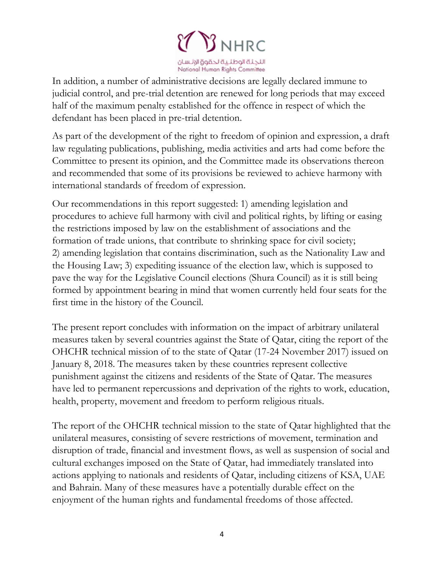

In addition, a number of administrative decisions are legally declared immune to judicial control, and pre-trial detention are renewed for long periods that may exceed half of the maximum penalty established for the offence in respect of which the defendant has been placed in pre-trial detention.

As part of the development of the right to freedom of opinion and expression, a draft law regulating publications, publishing, media activities and arts had come before the Committee to present its opinion, and the Committee made its observations thereon and recommended that some of its provisions be reviewed to achieve harmony with international standards of freedom of expression.

Our recommendations in this report suggested: 1) amending legislation and procedures to achieve full harmony with civil and political rights, by lifting or easing the restrictions imposed by law on the establishment of associations and the formation of trade unions, that contribute to shrinking space for civil society; 2) amending legislation that contains discrimination, such as the Nationality Law and the Housing Law; 3) expediting issuance of the election law, which is supposed to pave the way for the Legislative Council elections (Shura Council) as it is still being formed by appointment bearing in mind that women currently held four seats for the first time in the history of the Council.

The present report concludes with information on the impact of arbitrary unilateral measures taken by several countries against the State of Qatar, citing the report of the OHCHR technical mission of to the state of Qatar (17-24 November 2017) issued on January 8, 2018. The measures taken by these countries represent collective punishment against the citizens and residents of the State of Qatar. The measures have led to permanent repercussions and deprivation of the rights to work, education, health, property, movement and freedom to perform religious rituals.

The report of the OHCHR technical mission to the state of Qatar highlighted that the unilateral measures, consisting of severe restrictions of movement, termination and disruption of trade, financial and investment flows, as well as suspension of social and cultural exchanges imposed on the State of Qatar, had immediately translated into actions applying to nationals and residents of Qatar, including citizens of KSA, UAE and Bahrain. Many of these measures have a potentially durable effect on the enjoyment of the human rights and fundamental freedoms of those affected.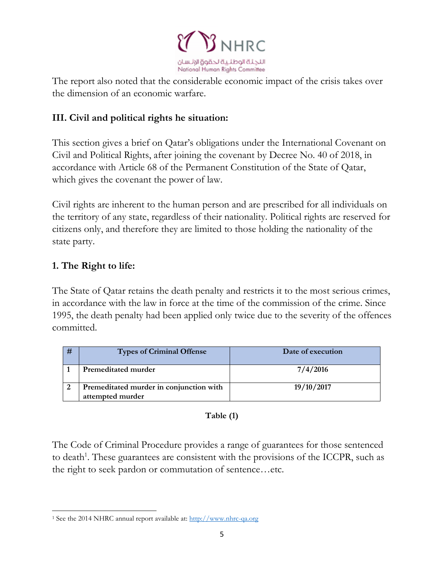

The report also noted that the considerable economic impact of the crisis takes over the dimension of an economic warfare.

#### **III. Civil and political rights he situation:**

This section gives a brief on Qatar's obligations under the International Covenant on Civil and Political Rights, after joining the covenant by Decree No. 40 of 2018, in accordance with Article 68 of the Permanent Constitution of the State of Qatar, which gives the covenant the power of law.

Civil rights are inherent to the human person and are prescribed for all individuals on the territory of any state, regardless of their nationality. Political rights are reserved for citizens only, and therefore they are limited to those holding the nationality of the state party.

#### **1. The Right to life:**

The State of Qatar retains the death penalty and restricts it to the most serious crimes, in accordance with the law in force at the time of the commission of the crime. Since 1995, the death penalty had been applied only twice due to the severity of the offences committed.

| # | <b>Types of Criminal Offense</b>                            | Date of execution |
|---|-------------------------------------------------------------|-------------------|
|   | Premeditated murder                                         | 7/4/2016          |
|   | Premeditated murder in conjunction with<br>attempted murder | 19/10/2017        |

#### **Table (1)**

The Code of Criminal Procedure provides a range of guarantees for those sentenced to death<sup>1</sup>. These guarantees are consistent with the provisions of the ICCPR, such as the right to seek pardon or commutation of sentence…etc.

 $\overline{\phantom{a}}$ <sup>1</sup> See the 2014 NHRC annual report available at: [http://www.nhrc-qa.org](http://www.nhrc-qa.org/)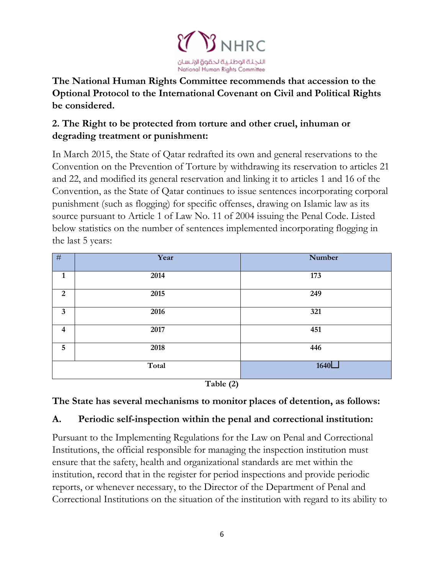

**The National Human Rights Committee recommends that accession to the Optional Protocol to the International Covenant on Civil and Political Rights be considered.**

# **2. The Right to be protected from torture and other cruel, inhuman or degrading treatment or punishment:**

In March 2015, the State of Qatar redrafted its own and general reservations to the Convention on the Prevention of Torture by withdrawing its reservation to articles 21 and 22, and modified its general reservation and linking it to articles 1 and 16 of the Convention, as the State of Qatar continues to issue sentences incorporating corporal punishment (such as flogging) for specific offenses, drawing on Islamic law as its source pursuant to Article 1 of Law No. 11 of 2004 issuing the Penal Code. Listed below statistics on the number of sentences implemented incorporating flogging in the last 5 years:

| #               | Year  | Number |
|-----------------|-------|--------|
| $\mathbf{1}$    | 2014  | 173    |
| $\overline{2}$  | 2015  | 249    |
| $\mathbf{3}$    | 2016  | 321    |
| $\overline{4}$  | 2017  | 451    |
| $5\phantom{.0}$ | 2018  | 446    |
|                 | Total | 1640   |

**Table (2)**

#### **The State has several mechanisms to monitor places of detention, as follows:**

#### **A. Periodic self-inspection within the penal and correctional institution:**

Pursuant to the Implementing Regulations for the Law on Penal and Correctional Institutions, the official responsible for managing the inspection institution must ensure that the safety, health and organizational standards are met within the institution, record that in the register for period inspections and provide periodic reports, or whenever necessary, to the Director of the Department of Penal and Correctional Institutions on the situation of the institution with regard to its ability to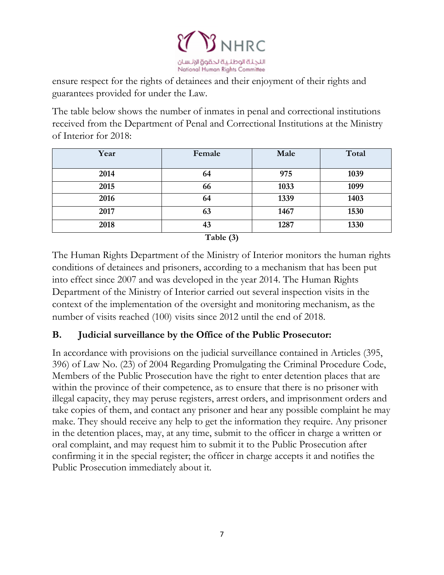

ensure respect for the rights of detainees and their enjoyment of their rights and guarantees provided for under the Law.

The table below shows the number of inmates in penal and correctional institutions received from the Department of Penal and Correctional Institutions at the Ministry of Interior for 2018:

| Year            | Female | Male | Total |
|-----------------|--------|------|-------|
| 2014            | 64     | 975  | 1039  |
| 2015            | 66     | 1033 | 1099  |
| 2016            | 64     | 1339 | 1403  |
| 2017            | 63     | 1467 | 1530  |
| 2018            | 43     | 1287 | 1330  |
| $T_0 h l_0 (2)$ |        |      |       |

**Table (3)**

The Human Rights Department of the Ministry of Interior monitors the human rights conditions of detainees and prisoners, according to a mechanism that has been put into effect since 2007 and was developed in the year 2014. The Human Rights Department of the Ministry of Interior carried out several inspection visits in the context of the implementation of the oversight and monitoring mechanism, as the number of visits reached (100) visits since 2012 until the end of 2018.

#### **B. Judicial surveillance by the Office of the Public Prosecutor:**

In accordance with provisions on the judicial surveillance contained in Articles (395, 396) of Law No. (23) of 2004 Regarding Promulgating the Criminal Procedure Code, Members of the Public Prosecution have the right to enter detention places that are within the province of their competence, as to ensure that there is no prisoner with illegal capacity, they may peruse registers, arrest orders, and imprisonment orders and take copies of them, and contact any prisoner and hear any possible complaint he may make. They should receive any help to get the information they require. Any prisoner in the detention places, may, at any time, submit to the officer in charge a written or oral complaint, and may request him to submit it to the Public Prosecution after confirming it in the special register; the officer in charge accepts it and notifies the Public Prosecution immediately about it.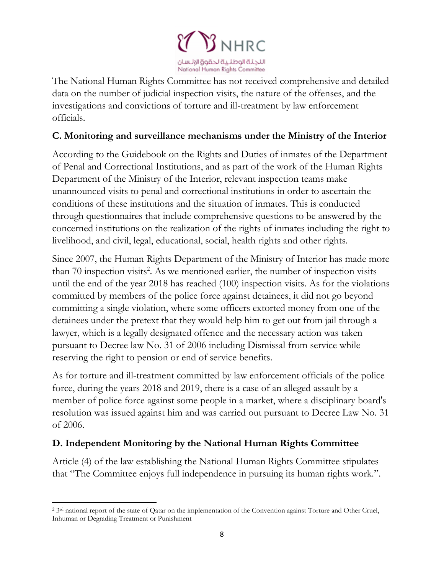

The National Human Rights Committee has not received comprehensive and detailed data on the number of judicial inspection visits, the nature of the offenses, and the investigations and convictions of torture and ill-treatment by law enforcement officials.

#### **C. Monitoring and surveillance mechanisms under the Ministry of the Interior**

According to the Guidebook on the Rights and Duties of inmates of the Department of Penal and Correctional Institutions, and as part of the work of the Human Rights Department of the Ministry of the Interior, relevant inspection teams make unannounced visits to penal and correctional institutions in order to ascertain the conditions of these institutions and the situation of inmates. This is conducted through questionnaires that include comprehensive questions to be answered by the concerned institutions on the realization of the rights of inmates including the right to livelihood, and civil, legal, educational, social, health rights and other rights.

Since 2007, the Human Rights Department of the Ministry of Interior has made more than 70 inspection visits<sup>2</sup>. As we mentioned earlier, the number of inspection visits until the end of the year 2018 has reached (100) inspection visits. As for the violations committed by members of the police force against detainees, it did not go beyond committing a single violation, where some officers extorted money from one of the detainees under the pretext that they would help him to get out from jail through a lawyer, which is a legally designated offence and the necessary action was taken pursuant to Decree law No. 31 of 2006 including Dismissal from service while reserving the right to pension or end of service benefits.

As for torture and ill-treatment committed by law enforcement officials of the police force, during the years 2018 and 2019, there is a case of an alleged assault by a member of police force against some people in a market, where a disciplinary board's resolution was issued against him and was carried out pursuant to Decree Law No. 31 of 2006.

#### **D. Independent Monitoring by the National Human Rights Committee**

Article (4) of the law establishing the National Human Rights Committee stipulates that "The Committee enjoys full independence in pursuing its human rights work.".

 $\overline{\phantom{a}}$ <sup>2</sup> 3<sup>rd</sup> national report of the state of Qatar on the implementation of the Convention against Torture and Other Cruel, Inhuman or Degrading Treatment or Punishment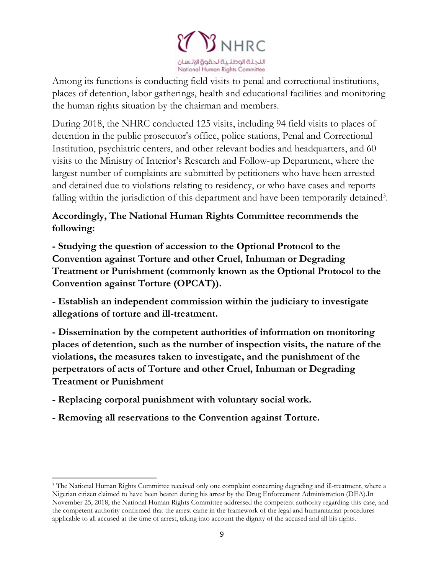

Among its functions is conducting field visits to penal and correctional institutions, places of detention, labor gatherings, health and educational facilities and monitoring the human rights situation by the chairman and members.

During 2018, the NHRC conducted 125 visits, including 94 field visits to places of detention in the public prosecutor's office, police stations, Penal and Correctional Institution, psychiatric centers, and other relevant bodies and headquarters, and 60 visits to the Ministry of Interior's Research and Follow-up Department, where the largest number of complaints are submitted by petitioners who have been arrested and detained due to violations relating to residency, or who have cases and reports falling within the jurisdiction of this department and have been temporarily detained<sup>3</sup>.

# **Accordingly, The National Human Rights Committee recommends the following:**

**- Studying the question of accession to the Optional Protocol to the Convention against Torture and other Cruel, Inhuman or Degrading Treatment or Punishment (commonly known as the Optional Protocol to the Convention against Torture (OPCAT)).**

**- Establish an independent commission within the judiciary to investigate allegations of torture and ill-treatment.**

**- Dissemination by the competent authorities of information on monitoring places of detention, such as the number of inspection visits, the nature of the violations, the measures taken to investigate, and the punishment of the perpetrators of acts of Torture and other Cruel, Inhuman or Degrading Treatment or Punishment** 

**- Replacing corporal punishment with voluntary social work.**

 $\overline{\phantom{a}}$ 

**- Removing all reservations to the Convention against Torture.**

<sup>3</sup> The National Human Rights Committee received only one complaint concerning degrading and ill-treatment, where a Nigerian citizen claimed to have been beaten during his arrest by the Drug Enforcement Administration (DEA).In November 25, 2018, the National Human Rights Committee addressed the competent authority regarding this case, and the competent authority confirmed that the arrest came in the framework of the legal and humanitarian procedures applicable to all accused at the time of arrest, taking into account the dignity of the accused and all his rights.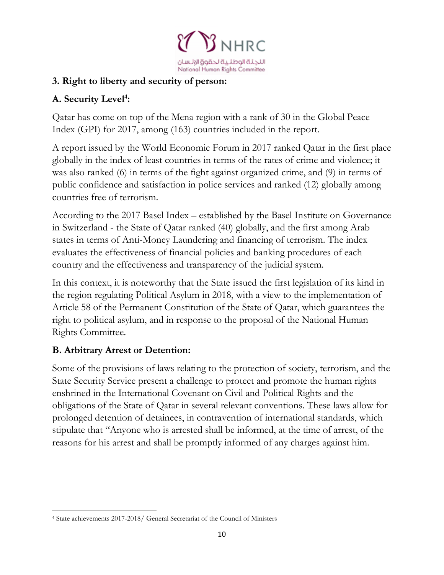

#### **3. Right to liberty and security of person:**

# **A. Security Level<sup>4</sup> :**

Qatar has come on top of the Mena region with a rank of 30 in the Global Peace Index (GPI) for 2017, among (163) countries included in the report.

A report issued by the World Economic Forum in 2017 ranked Qatar in the first place globally in the index of least countries in terms of the rates of crime and violence; it was also ranked (6) in terms of the fight against organized crime, and (9) in terms of public confidence and satisfaction in police services and ranked (12) globally among countries free of terrorism.

According to the 2017 Basel Index – established by the Basel Institute on Governance in Switzerland - the State of Qatar ranked (40) globally, and the first among Arab states in terms of Anti-Money Laundering and financing of terrorism. The index evaluates the effectiveness of financial policies and banking procedures of each country and the effectiveness and transparency of the judicial system.

In this context, it is noteworthy that the State issued the first legislation of its kind in the region regulating Political Asylum in 2018, with a view to the implementation of Article 58 of the Permanent Constitution of the State of Qatar, which guarantees the right to political asylum, and in response to the proposal of the National Human Rights Committee.

#### **B. Arbitrary Arrest or Detention:**

Some of the provisions of laws relating to the protection of society, terrorism, and the State Security Service present a challenge to protect and promote the human rights enshrined in the International Covenant on Civil and Political Rights and the obligations of the State of Qatar in several relevant conventions. These laws allow for prolonged detention of detainees, in contravention of international standards, which stipulate that "Anyone who is arrested shall be informed, at the time of arrest, of the reasons for his arrest and shall be promptly informed of any charges against him.

 $\overline{\phantom{a}}$ <sup>4</sup> State achievements 2017-2018/ General Secretariat of the Council of Ministers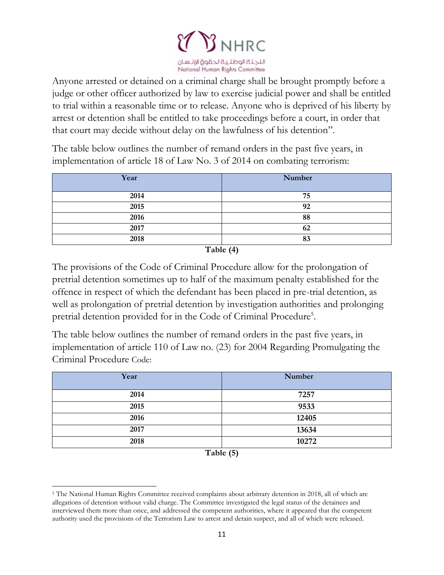

Anyone arrested or detained on a criminal charge shall be brought promptly before a judge or other officer authorized by law to exercise judicial power and shall be entitled to trial within a reasonable time or to release. Anyone who is deprived of his liberty by arrest or detention shall be entitled to take proceedings before a court, in order that that court may decide without delay on the lawfulness of his detention".

The table below outlines the number of remand orders in the past five years, in implementation of article 18 of Law No. 3 of 2014 on combating terrorism:

| Year | Number |
|------|--------|
| 2014 | 75     |
| 2015 | 92     |
| 2016 | 88     |
| 2017 | 62     |
| 2018 | 83     |

**Table (4)**

The provisions of the Code of Criminal Procedure allow for the prolongation of pretrial detention sometimes up to half of the maximum penalty established for the offence in respect of which the defendant has been placed in pre-trial detention, as well as prolongation of pretrial detention by investigation authorities and prolonging pretrial detention provided for in the Code of Criminal Procedure<sup>5</sup>.

The table below outlines the number of remand orders in the past five years, in implementation of article 110 of Law no. (23) for 2004 Regarding Promulgating the Criminal Procedure Code:

| Year                                              | Number |
|---------------------------------------------------|--------|
| 2014                                              | 7257   |
| 2015                                              | 9533   |
| 2016                                              | 12405  |
| 2017                                              | 13634  |
| 2018<br>$\sim$ $\sim$ $\sim$ $\sim$ $\sim$ $\sim$ | 10272  |

**Table (5)**

 $\overline{\phantom{a}}$ 

<sup>5</sup> The National Human Rights Committee received complaints about arbitrary detention in 2018, all of which are allegations of detention without valid charge. The Committee investigated the legal status of the detainees and interviewed them more than once, and addressed the competent authorities, where it appeared that the competent authority used the provisions of the Terrorism Law to arrest and detain suspect, and all of which were released.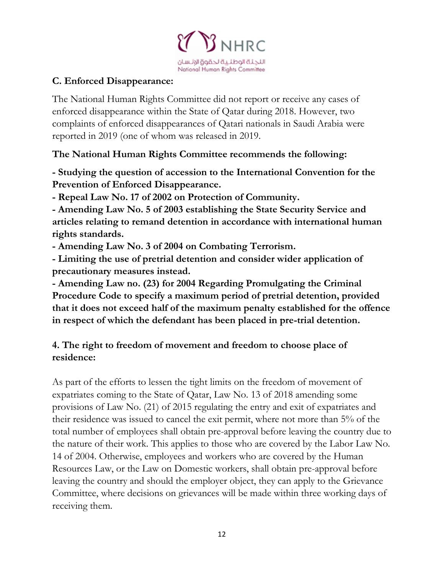

#### **C. Enforced Disappearance:**

The National Human Rights Committee did not report or receive any cases of enforced disappearance within the State of Qatar during 2018. However, two complaints of enforced disappearances of Qatari nationals in Saudi Arabia were reported in 2019 (one of whom was released in 2019.

**The National Human Rights Committee recommends the following:**

**- Studying the question of accession to the International Convention for the Prevention of Enforced Disappearance.**

**- Repeal Law No. 17 of 2002 on Protection of Community.**

**- Amending Law No. 5 of 2003 establishing the State Security Service and articles relating to remand detention in accordance with international human rights standards.**

**- Amending Law No. 3 of 2004 on Combating Terrorism.**

**- Limiting the use of pretrial detention and consider wider application of precautionary measures instead.**

**- Amending Law no. (23) for 2004 Regarding Promulgating the Criminal Procedure Code to specify a maximum period of pretrial detention, provided that it does not exceed half of the maximum penalty established for the offence in respect of which the defendant has been placed in pre-trial detention.**

#### **4. The right to freedom of movement and freedom to choose place of residence:**

As part of the efforts to lessen the tight limits on the freedom of movement of expatriates coming to the State of Qatar, Law No. 13 of 2018 amending some provisions of Law No. (21) of 2015 regulating the entry and exit of expatriates and their residence was issued to cancel the exit permit, where not more than 5% of the total number of employees shall obtain pre-approval before leaving the country due to the nature of their work. This applies to those who are covered by the Labor Law No. 14 of 2004. Otherwise, employees and workers who are covered by the Human Resources Law, or the Law on Domestic workers, shall obtain pre-approval before leaving the country and should the employer object, they can apply to the Grievance Committee, where decisions on grievances will be made within three working days of receiving them.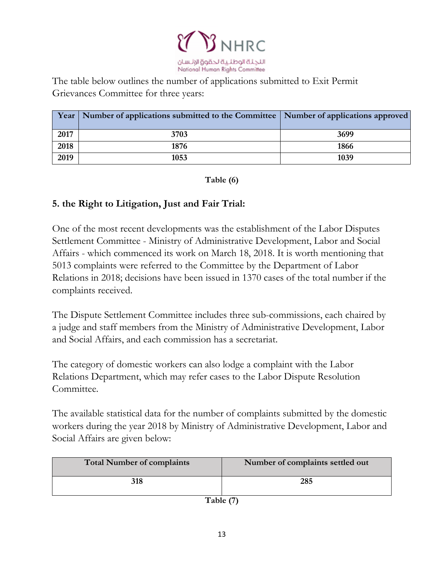

The table below outlines the number of applications submitted to Exit Permit Grievances Committee for three years:

|      | Year   Number of applications submitted to the Committee   Number of applications approved |      |
|------|--------------------------------------------------------------------------------------------|------|
| 2017 | 3703                                                                                       | 3699 |
| 2018 | 1876                                                                                       | 1866 |
| 2019 | 1053                                                                                       | 1039 |

**Table (6)**

#### **5. the Right to Litigation, Just and Fair Trial:**

One of the most recent developments was the establishment of the Labor Disputes Settlement Committee - Ministry of Administrative Development, Labor and Social Affairs - which commenced its work on March 18, 2018. It is worth mentioning that 5013 complaints were referred to the Committee by the Department of Labor Relations in 2018; decisions have been issued in 1370 cases of the total number if the complaints received.

The Dispute Settlement Committee includes three sub-commissions, each chaired by a judge and staff members from the Ministry of Administrative Development, Labor and Social Affairs, and each commission has a secretariat.

The category of domestic workers can also lodge a complaint with the Labor Relations Department, which may refer cases to the Labor Dispute Resolution Committee.

The available statistical data for the number of complaints submitted by the domestic workers during the year 2018 by Ministry of Administrative Development, Labor and Social Affairs are given below:

| <b>Total Number of complaints</b> | Number of complaints settled out |
|-----------------------------------|----------------------------------|
| 318                               | 285                              |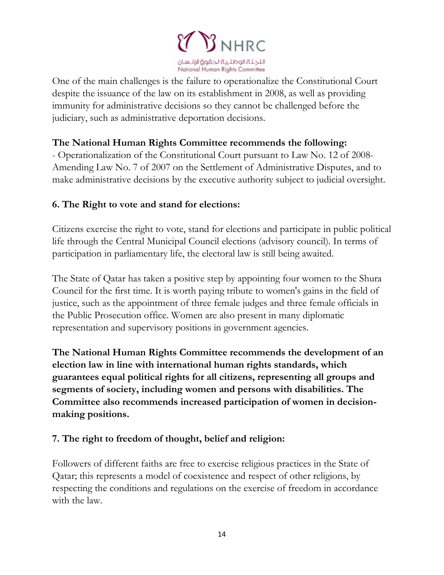

One of the main challenges is the failure to operationalize the Constitutional Court despite the issuance of the law on its establishment in 2008, as well as providing immunity for administrative decisions so they cannot be challenged before the judiciary, such as administrative deportation decisions.

#### **The National Human Rights Committee recommends the following:**

- Operationalization of the Constitutional Court pursuant to Law No. 12 of 2008- Amending Law No. 7 of 2007 on the Settlement of Administrative Disputes, and to make administrative decisions by the executive authority subject to judicial oversight.

#### **6. The Right to vote and stand for elections:**

Citizens exercise the right to vote, stand for elections and participate in public political life through the Central Municipal Council elections (advisory council). In terms of participation in parliamentary life, the electoral law is still being awaited.

The State of Qatar has taken a positive step by appointing four women to the Shura Council for the first time. It is worth paying tribute to women's gains in the field of justice, such as the appointment of three female judges and three female officials in the Public Prosecution office. Women are also present in many diplomatic representation and supervisory positions in government agencies.

**The National Human Rights Committee recommends the development of an election law in line with international human rights standards, which guarantees equal political rights for all citizens, representing all groups and segments of society, including women and persons with disabilities. The Committee also recommends increased participation of women in decisionmaking positions.**

#### **7. The right to freedom of thought, belief and religion:**

Followers of different faiths are free to exercise religious practices in the State of Qatar; this represents a model of coexistence and respect of other religions, by respecting the conditions and regulations on the exercise of freedom in accordance with the law.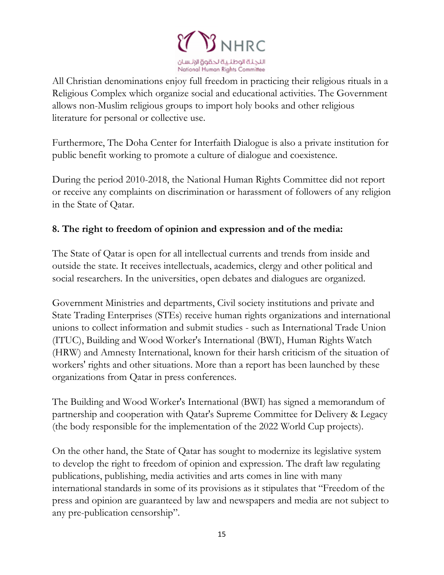

All Christian denominations enjoy full freedom in practicing their religious rituals in a Religious Complex which organize social and educational activities. The Government allows non-Muslim religious groups to import holy books and other religious literature for personal or collective use.

Furthermore, The Doha Center for Interfaith Dialogue is also a private institution for public benefit working to promote a culture of dialogue and coexistence.

During the period 2010-2018, the National Human Rights Committee did not report or receive any complaints on discrimination or harassment of followers of any religion in the State of Qatar.

#### **8. The right to freedom of opinion and expression and of the media:**

The State of Qatar is open for all intellectual currents and trends from inside and outside the state. It receives intellectuals, academics, clergy and other political and social researchers. In the universities, open debates and dialogues are organized.

Government Ministries and departments, Civil society institutions and private and State Trading Enterprises (STEs) receive human rights organizations and international unions to collect information and submit studies - such as International Trade Union (ITUC), Building and Wood Worker's International (BWI), Human Rights Watch (HRW) and Amnesty International, known for their harsh criticism of the situation of workers' rights and other situations. More than a report has been launched by these organizations from Qatar in press conferences.

The Building and Wood Worker's International (BWI) has signed a memorandum of partnership and cooperation with Qatar's Supreme Committee for Delivery & Legacy (the body responsible for the implementation of the 2022 World Cup projects).

On the other hand, the State of Qatar has sought to modernize its legislative system to develop the right to freedom of opinion and expression. The draft law regulating publications, publishing, media activities and arts comes in line with many international standards in some of its provisions as it stipulates that "Freedom of the press and opinion are guaranteed by law and newspapers and media are not subject to any pre-publication censorship".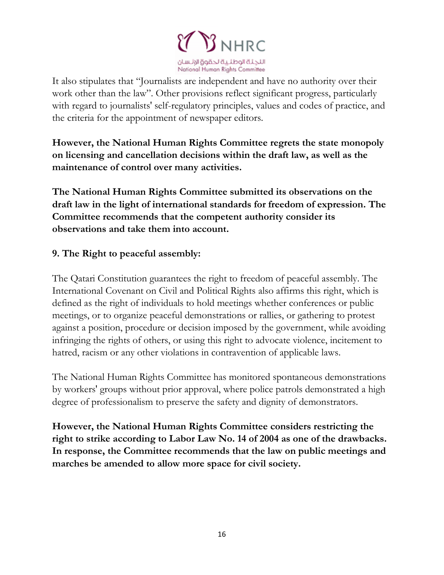

It also stipulates that "Journalists are independent and have no authority over their work other than the law". Other provisions reflect significant progress, particularly with regard to journalists' self-regulatory principles, values and codes of practice, and the criteria for the appointment of newspaper editors.

**However, the National Human Rights Committee regrets the state monopoly on licensing and cancellation decisions within the draft law, as well as the maintenance of control over many activities.**

**The National Human Rights Committee submitted its observations on the draft law in the light of international standards for freedom of expression. The Committee recommends that the competent authority consider its observations and take them into account.**

#### **9. The Right to peaceful assembly:**

The Qatari Constitution guarantees the right to freedom of peaceful assembly. The International Covenant on Civil and Political Rights also affirms this right, which is defined as the right of individuals to hold meetings whether conferences or public meetings, or to organize peaceful demonstrations or rallies, or gathering to protest against a position, procedure or decision imposed by the government, while avoiding infringing the rights of others, or using this right to advocate violence, incitement to hatred, racism or any other violations in contravention of applicable laws.

The National Human Rights Committee has monitored spontaneous demonstrations by workers' groups without prior approval, where police patrols demonstrated a high degree of professionalism to preserve the safety and dignity of demonstrators.

**However, the National Human Rights Committee considers restricting the right to strike according to Labor Law No. 14 of 2004 as one of the drawbacks. In response, the Committee recommends that the law on public meetings and marches be amended to allow more space for civil society.**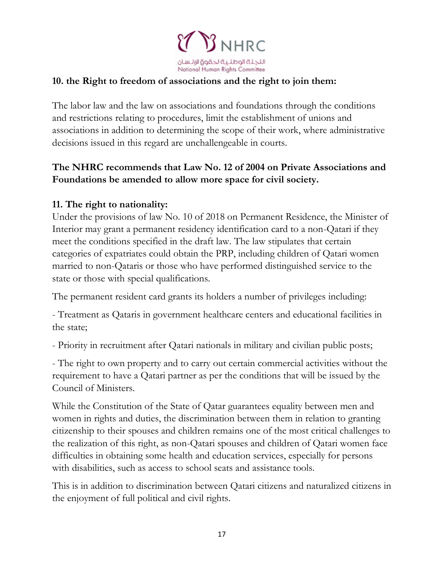

#### **10. the Right to freedom of associations and the right to join them:**

The labor law and the law on associations and foundations through the conditions and restrictions relating to procedures, limit the establishment of unions and associations in addition to determining the scope of their work, where administrative decisions issued in this regard are unchallengeable in courts.

## **The NHRC recommends that Law No. 12 of 2004 on Private Associations and Foundations be amended to allow more space for civil society.**

#### **11. The right to nationality:**

Under the provisions of law No. 10 of 2018 on Permanent Residence, the Minister of Interior may grant a permanent residency identification card to a non-Qatari if they meet the conditions specified in the draft law. The law stipulates that certain categories of expatriates could obtain the PRP, including children of Qatari women married to non-Qataris or those who have performed distinguished service to the state or those with special qualifications.

The permanent resident card grants its holders a number of privileges including:

- Treatment as Qataris in government healthcare centers and educational facilities in the state;

- Priority in recruitment after Qatari nationals in military and civilian public posts;

- The right to own property and to carry out certain commercial activities without the requirement to have a Qatari partner as per the conditions that will be issued by the Council of Ministers.

While the Constitution of the State of Qatar guarantees equality between men and women in rights and duties, the discrimination between them in relation to granting citizenship to their spouses and children remains one of the most critical challenges to the realization of this right, as non-Qatari spouses and children of Qatari women face difficulties in obtaining some health and education services, especially for persons with disabilities, such as access to school seats and assistance tools.

This is in addition to discrimination between Qatari citizens and naturalized citizens in the enjoyment of full political and civil rights.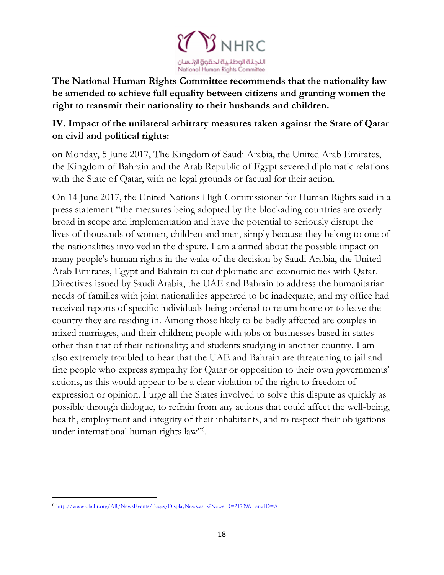

**The National Human Rights Committee recommends that the nationality law be amended to achieve full equality between citizens and granting women the right to transmit their nationality to their husbands and children.**

### **IV. Impact of the unilateral arbitrary measures taken against the State of Qatar on civil and political rights:**

on Monday, 5 June 2017, The Kingdom of Saudi Arabia, the United Arab Emirates, the Kingdom of Bahrain and the Arab Republic of Egypt severed diplomatic relations with the State of Qatar, with no legal grounds or factual for their action.

On 14 June 2017, the United Nations High Commissioner for Human Rights said in a press statement "the measures being adopted by the blockading countries are overly broad in scope and implementation and have the potential to seriously disrupt the lives of thousands of women, children and men, simply because they belong to one of the nationalities involved in the dispute. I am alarmed about the possible impact on many people's human rights in the wake of the decision by Saudi Arabia, the United Arab Emirates, Egypt and Bahrain to cut diplomatic and economic ties with Qatar. Directives issued by Saudi Arabia, the UAE and Bahrain to address the humanitarian needs of families with joint nationalities appeared to be inadequate, and my office had received reports of specific individuals being ordered to return home or to leave the country they are residing in. Among those likely to be badly affected are couples in mixed marriages, and their children; people with jobs or businesses based in states other than that of their nationality; and students studying in another country. I am also extremely troubled to hear that the UAE and Bahrain are threatening to jail and fine people who express sympathy for Qatar or opposition to their own governments' actions, as this would appear to be a clear violation of the right to freedom of expression or opinion. I urge all the States involved to solve this dispute as quickly as possible through dialogue, to refrain from any actions that could affect the well-being, health, employment and integrity of their inhabitants, and to respect their obligations under international human rights law"<sup>6</sup>.

l

<sup>6</sup> <http://www.ohchr.org/AR/NewsEvents/Pages/DisplayNews.aspx?NewsID=21739&LangID=A>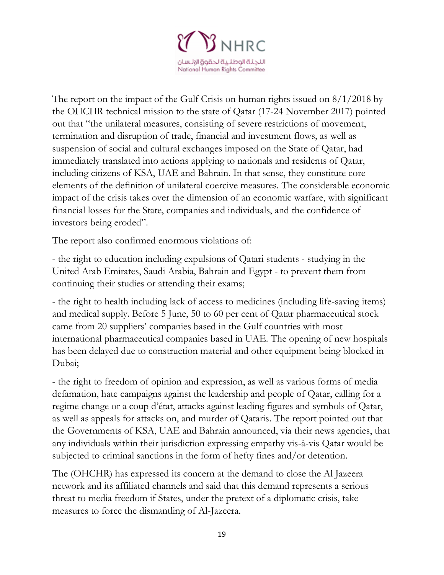

The report on the impact of the Gulf Crisis on human rights issued on 8/1/2018 by the OHCHR technical mission to the state of Qatar (17-24 November 2017) pointed out that "the unilateral measures, consisting of severe restrictions of movement, termination and disruption of trade, financial and investment flows, as well as suspension of social and cultural exchanges imposed on the State of Qatar, had immediately translated into actions applying to nationals and residents of Qatar, including citizens of KSA, UAE and Bahrain. In that sense, they constitute core elements of the definition of unilateral coercive measures. The considerable economic impact of the crisis takes over the dimension of an economic warfare, with significant financial losses for the State, companies and individuals, and the confidence of investors being eroded".

The report also confirmed enormous violations of:

- the right to education including expulsions of Qatari students - studying in the United Arab Emirates, Saudi Arabia, Bahrain and Egypt - to prevent them from continuing their studies or attending their exams;

- the right to health including lack of access to medicines (including life-saving items) and medical supply. Before 5 June, 50 to 60 per cent of Qatar pharmaceutical stock came from 20 suppliers' companies based in the Gulf countries with most international pharmaceutical companies based in UAE. The opening of new hospitals has been delayed due to construction material and other equipment being blocked in Dubai;

- the right to freedom of opinion and expression, as well as various forms of media defamation, hate campaigns against the leadership and people of Qatar, calling for a regime change or a coup d'état, attacks against leading figures and symbols of Qatar, as well as appeals for attacks on, and murder of Qataris. The report pointed out that the Governments of KSA, UAE and Bahrain announced, via their news agencies, that any individuals within their jurisdiction expressing empathy vis-à-vis Qatar would be subjected to criminal sanctions in the form of hefty fines and/or detention.

The (OHCHR) has expressed its concern at the demand to close the Al Jazeera network and its affiliated channels and said that this demand represents a serious threat to media freedom if States, under the pretext of a diplomatic crisis, take measures to force the dismantling of Al-Jazeera.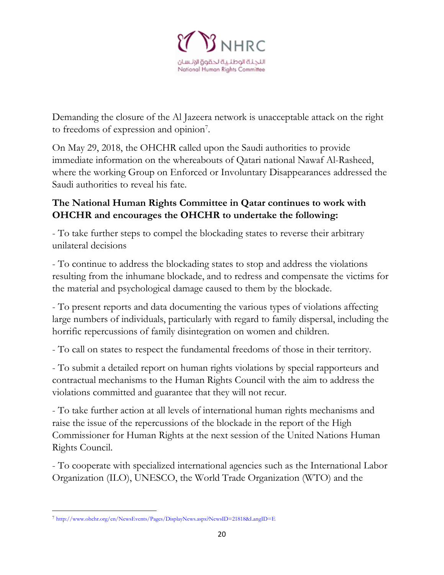

Demanding the closure of the Al Jazeera network is unacceptable attack on the right to freedoms of expression and opinion<sup>7</sup>.

On May 29, 2018, the OHCHR called upon the Saudi authorities to provide immediate information on the whereabouts of Qatari national Nawaf Al-Rasheed, where the working Group on Enforced or Involuntary Disappearances addressed the Saudi authorities to reveal his fate.

# **The National Human Rights Committee in Qatar continues to work with OHCHR and encourages the OHCHR to undertake the following:**

- To take further steps to compel the blockading states to reverse their arbitrary unilateral decisions

- To continue to address the blockading states to stop and address the violations resulting from the inhumane blockade, and to redress and compensate the victims for the material and psychological damage caused to them by the blockade.

- To present reports and data documenting the various types of violations affecting large numbers of individuals, particularly with regard to family dispersal, including the horrific repercussions of family disintegration on women and children.

- To call on states to respect the fundamental freedoms of those in their territory.

- To submit a detailed report on human rights violations by special rapporteurs and contractual mechanisms to the Human Rights Council with the aim to address the violations committed and guarantee that they will not recur.

- To take further action at all levels of international human rights mechanisms and raise the issue of the repercussions of the blockade in the report of the High Commissioner for Human Rights at the next session of the United Nations Human Rights Council.

- To cooperate with specialized international agencies such as the International Labor Organization (ILO), UNESCO, the World Trade Organization (WTO) and the

 $\overline{\phantom{a}}$ 

<sup>7</sup> <http://www.ohchr.org/en/NewsEvents/Pages/DisplayNews.aspx?NewsID=21818&LangID=E>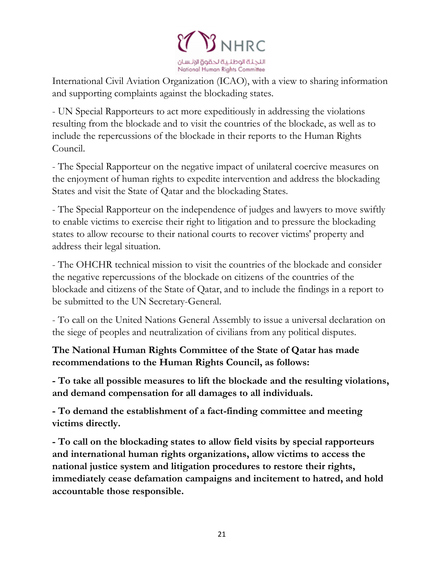

International Civil Aviation Organization (ICAO), with a view to sharing information and supporting complaints against the blockading states.

- UN Special Rapporteurs to act more expeditiously in addressing the violations resulting from the blockade and to visit the countries of the blockade, as well as to include the repercussions of the blockade in their reports to the Human Rights Council.

- The Special Rapporteur on the negative impact of unilateral coercive measures on the enjoyment of human rights to expedite intervention and address the blockading States and visit the State of Qatar and the blockading States.

- The Special Rapporteur on the independence of judges and lawyers to move swiftly to enable victims to exercise their right to litigation and to pressure the blockading states to allow recourse to their national courts to recover victims' property and address their legal situation.

- The OHCHR technical mission to visit the countries of the blockade and consider the negative repercussions of the blockade on citizens of the countries of the blockade and citizens of the State of Qatar, and to include the findings in a report to be submitted to the UN Secretary-General.

- To call on the United Nations General Assembly to issue a universal declaration on the siege of peoples and neutralization of civilians from any political disputes.

**The National Human Rights Committee of the State of Qatar has made recommendations to the Human Rights Council, as follows:**

**- To take all possible measures to lift the blockade and the resulting violations, and demand compensation for all damages to all individuals.**

**- To demand the establishment of a fact-finding committee and meeting victims directly.**

**- To call on the blockading states to allow field visits by special rapporteurs and international human rights organizations, allow victims to access the national justice system and litigation procedures to restore their rights, immediately cease defamation campaigns and incitement to hatred, and hold accountable those responsible.**